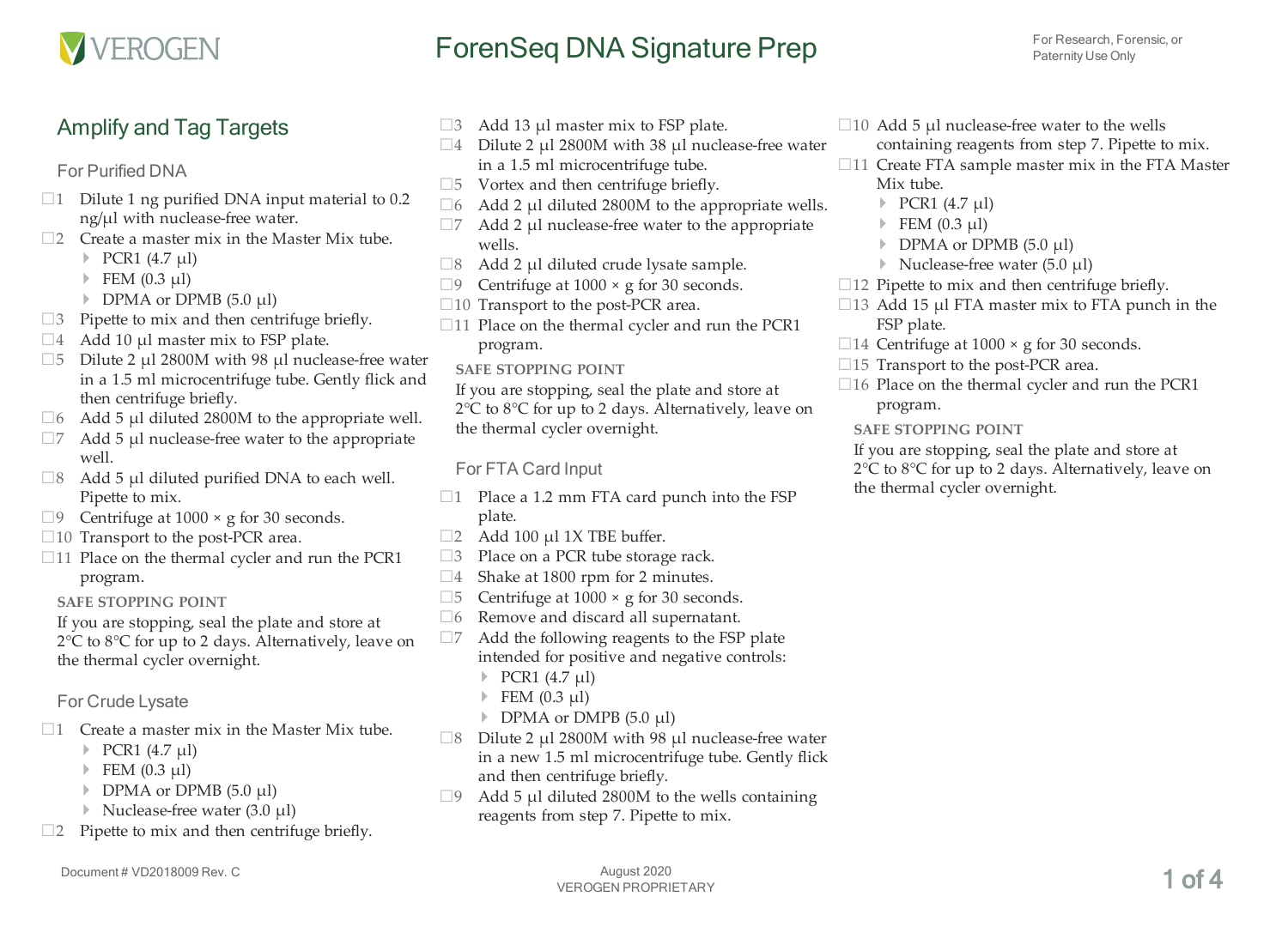

# For Research, Forensic, or **For Research, Forensic, or**

### Amplify and Tag Targets

### For Purified DNA

- $\Box$ 1 Dilute 1 ng purified DNA input material to 0.2 ng/µl with nuclease-free water.
- $\square$ 2 Create a master mix in the Master Mix tube.
	- } PCR1 (4.7 µl)
	- $\triangleright$  FEM (0.3 µl)
	- } DPMA or DPMB (5.0 µl)
- $\square$ 3 Pipette to mix and then centrifuge briefly.
- $\Box$ 4 Add 10 µl master mix to FSP plate.
- $\square$ 5 Dilute 2 µl 2800M with 98 µl nuclease-free water in a 1.5 ml microcentrifuge tube. Gently flick and then centrifuge briefly.
- $\Box$ 6 Add 5 µl diluted 2800M to the appropriate well.
- $\square$ 7 Add 5 µl nuclease-free water to the appropriate well.
- $\Box$ 8 Add 5 µl diluted purified DNA to each well. Pipette to mix.
- $\Box$ 9 Centrifuge at 1000 × g for 30 seconds.
- $\square$ 10 Transport to the post-PCR area.
- $\square$ 11 Place on the thermal cycler and run the PCR1 program.

#### **SAFE STOPPING POINT**

If you are stopping, seal the plate and store at 2°C to 8°C for up to 2 days. Alternatively, leave on the thermal cycler overnight.

For Crude Lysate

- $\square$ 1 Create a master mix in the Master Mix tube.
	- } PCR1 (4.7 µl)
	- $\blacktriangleright$  FEM (0.3 µl)
	- } DPMA or DPMB (5.0 µl)
	- } Nuclease-free water (3.0 µl)
- $\square$ 2 Pipette to mix and then centrifuge briefly.
- $\Box$ 3 Add 13 µl master mix to FSP plate.
- $\square$ 4 Dilute 2 µl 2800M with 38 µl nuclease-free water in a 1.5 ml microcentrifuge tube.
- $\square$ 5 Vortex and then centrifuge briefly.
- $\Box$ 6 Add 2 µl diluted 2800M to the appropriate wells.
- $\square$ 7 Add 2 µl nuclease-free water to the appropriate wells.
- $\Box$ 8 Add 2 µl diluted crude lysate sample.
- $\Box$ 9 Centrifuge at 1000  $\times$  g for 30 seconds.
- $\square$ 10 Transport to the post-PCR area.
- $\square$ 11 Place on the thermal cycler and run the PCR1 program.
	- **SAFE STOPPING POINT**

If you are stopping, seal the plate and store at 2°C to 8°C for up to 2 days. Alternatively, leave on the thermal cycler overnight.

### For FTA Card Input

- $\Box$ 1 Place a 1.2 mm FTA card punch into the FSP plate.
- $\Box$ 2 Add 100 µl 1X TBE buffer.
- □3 Place on a PCR tube storage rack.
- $\square$ 4 Shake at 1800 rpm for 2 minutes.
- <span id="page-0-0"></span> $\square$ 5 Centrifuge at 1000  $\times$  g for 30 seconds.
- □6 Remove and discard all supernatant.
- $\square$ 7 Add the following reagents to the FSP plate intended for positive and negative controls:
	- $\triangleright$  PCR1 (4.7 µl)
	- $\blacktriangleright$  FEM (0.3 µl)
	- } DPMA or DMPB (5.0 µl)
- $\Box$ 8 Dilute 2 µl 2800M with 98 µl nuclease-free water in a new 1.5 ml microcentrifuge tube. Gently flick and then centrifuge briefly.
- $\Box$ 9 Add 5 µl diluted 2800M to the wells containing reagents from step [7.](#page-0-0) Pipette to mix.
- $\Box$ 10 Add 5 µl nuclease-free water to the wells containing reagents from step [7.](#page-0-0) Pipette to mix.
- $\square$ 11 Create FTA sample master mix in the FTA Master Mix tube.
	- $\triangleright$  PCR1 (4.7 µl)
	- $\blacktriangleright$  FEM (0.3 µl)
	- } DPMA or DPMB (5.0 µl)
	- } Nuclease-free water (5.0 µl)
- $\square$ 12 Pipette to mix and then centrifuge briefly.
- $\Box$ 13 Add 15 µl FTA master mix to FTA punch in the FSP plate.
- $\Box$ 14 Centrifuge at 1000  $\times$  g for 30 seconds.
- $\square$ 15 Transport to the post-PCR area.
- $\square$ 16 Place on the thermal cycler and run the PCR1 program.

#### **SAFE STOPPING POINT**

If you are stopping, seal the plate and store at 2°C to 8°C for up to 2 days. Alternatively, leave on the thermal cycler overnight.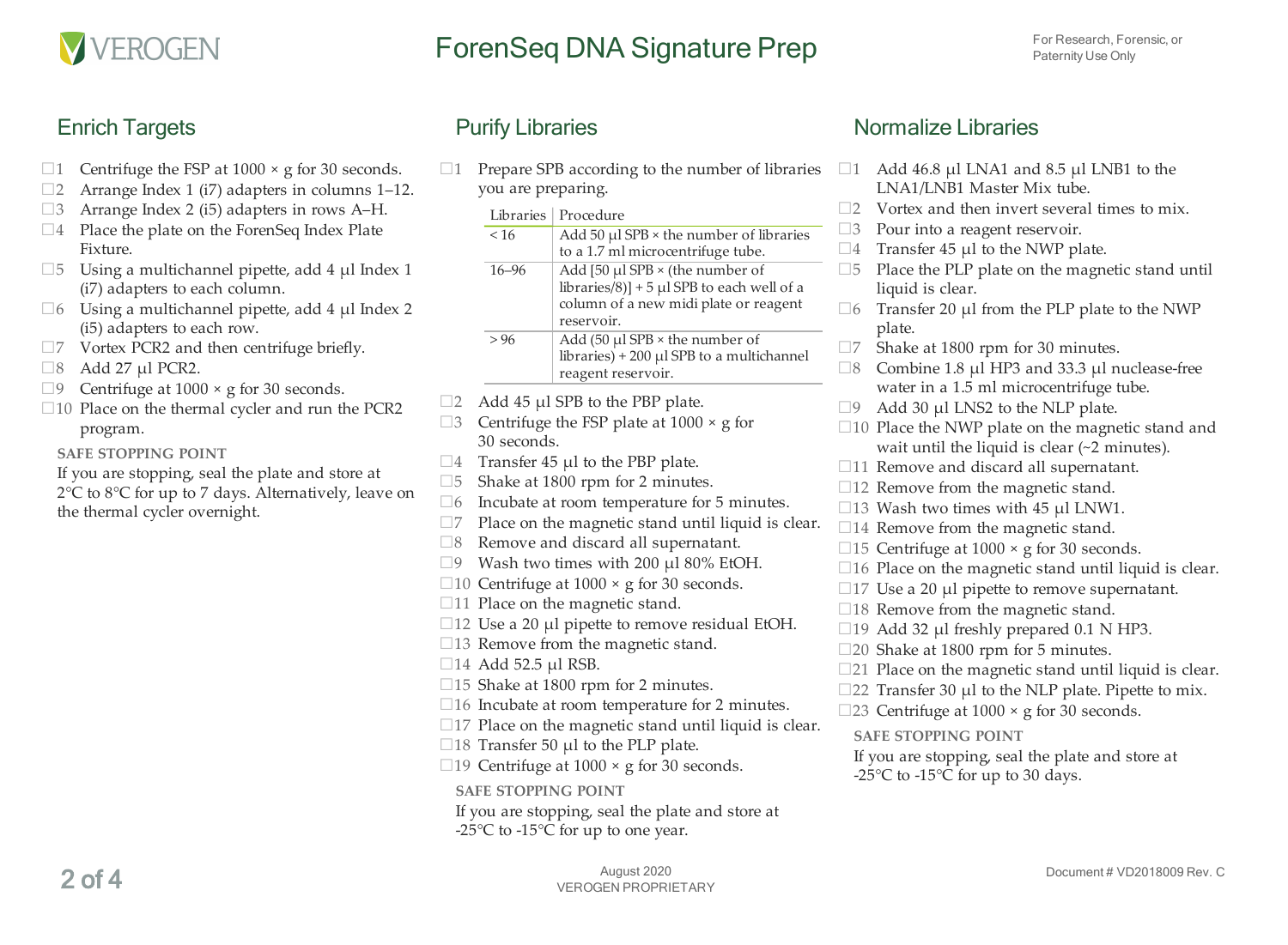

# For Research, Forensic, or **For Research, Forensic, or**

### Enrich Targets

- $\Box$ 1 Centrifuge the FSP at 1000  $\times$  g for 30 seconds.
- $\square$ 2 Arrange Index 1 (i7) adapters in columns 1–12.
- □3 Arrange Index 2 (i5) adapters in rows A–H.
- $\square$ 4 Place the plate on the ForenSeq Index Plate Fixture.
- $\square$ 5 Using a multichannel pipette, add 4 µl Index 1 (i7) adapters to each column.
- $\Box$ 6 Using a multichannel pipette, add 4 µl Index 2 (i5) adapters to each row.
- $\square$ 7 Vortex PCR2 and then centrifuge briefly.
- $\Box 8$  Add 27 µl PCR2.
- $\Box$ 9 Centrifuge at 1000 × g for 30 seconds.
- $\square$ 10 Place on the thermal cycler and run the PCR2 program.

**SAFE STOPPING POINT**

If you are stopping, seal the plate and store at 2°C to 8°C for up to 7 days. Alternatively, leave on the thermal cycler overnight.

 $\Box$ 1 Prepare SPB according to the number of libraries  $\Box$ 1 you are preparing.

| <b>Libraries</b> | Procedure                                       |
|------------------|-------------------------------------------------|
| < 16             | Add $50 \mu$ l SPB × the number of libraries    |
|                  | to a 1.7 ml microcentrifuge tube.               |
| $16 - 96$        | Add [50 $\mu$ l SPB × (the number of            |
|                  | libraries/8)] + 5 $\mu$ l SPB to each well of a |
|                  | column of a new midi plate or reagent           |
|                  | reservoir.                                      |
| >96              | Add (50 $\mu$ l SPB × the number of             |
|                  | libraries) + 200 $\mu$ l SPB to a multichannel  |
|                  | reagent reservoir.                              |

- $\Box$ 2 Add 45 µl SPB to the PBP plate.
- $\Box$ 3 Centrifuge the FSP plate at 1000  $\times$  g for 30 seconds.
- $\Box$ 4 Transfer 45 µl to the PBP plate.
- □<sup>5</sup> Shake at 1800 rpm for 2 minutes.
- $\Box 6$  Incubate at room temperature for 5 minutes.
- $\square$ 7 Place on the magnetic stand until liquid is clear.
- □8 Remove and discard all supernatant.
- $\square$ 9 Wash two times with 200 µl 80% EtOH.
- $\Box$ 10 Centrifuge at 1000  $\times$  g for 30 seconds.
- □11 Place on the magnetic stand.
- $\square$ 12 Use a 20 µl pipette to remove residual EtOH.
- $\square$ 13 Remove from the magnetic stand.
- $\Box$ 14 Add 52.5 µl RSB.
- □15 Shake at 1800 rpm for 2 minutes.
- $\square$ 16 Incubate at room temperature for 2 minutes.
- $\square$ 17 Place on the magnetic stand until liquid is clear.
- $\Box$ 18 Transfer 50 µl to the PLP plate.
- $\Box$ 19 Centrifuge at 1000 × g for 30 seconds.

#### **SAFE STOPPING POINT**

If you are stopping, seal the plate and store at -25 $\mathrm{^{\circ}C}$  to -15 $\mathrm{^{\circ}C}$  for up to one year.

### Normalize Libraries

- Add  $46.8$  µl LNA1 and  $8.5$  µl LNB1 to the LNA1/LNB1 Master Mix tube.
- $\square$ 2 Vortex and then invert several times to mix.
- $\square$ 3 Pour into a reagent reservoir.
- $\Box$ 4 Transfer 45 µl to the NWP plate.
- $\square$ 5 Place the PLP plate on the magnetic stand until liquid is clear.
- $\square$ 6 Transfer 20 µl from the PLP plate to the NWP plate.
- $\square$ 7 Shake at 1800 rpm for 30 minutes.
- $\Box$ 8 Combine 1.8 µl HP3 and 33.3 µl nuclease-free water in a 1.5 ml microcentrifuge tube.
- $\Box$ 9 Add 30 µl LNS2 to the NLP plate.
- $\square$ 10 Place the NWP plate on the magnetic stand and wait until the liquid is clear (~2 minutes).
- $\Box$ 11 Remove and discard all supernatant.
- $\square$ 12 Remove from the magnetic stand.
- $\Box$ 13 Wash two times with 45  $\mu$ l LNW1.
- $\square$ 14 Remove from the magnetic stand.
- $\Box$ 15 Centrifuge at 1000  $\times$  g for 30 seconds.
- $\square$ 16 Place on the magnetic stand until liquid is clear.
- $\Box$ 17 Use a 20  $\mu$ l pipette to remove supernatant.
- $\square$ 18 Remove from the magnetic stand.
- $\Box$ 19 Add 32 µl freshly prepared 0.1 N HP3.
- □20 Shake at 1800 rpm for 5 minutes.
- $\square$ 21 Place on the magnetic stand until liquid is clear.
- $\square$ 22 Transfer 30 µl to the NLP plate. Pipette to mix.
- □23 Centrifuge at  $1000 \times g$  for 30 seconds.

#### **SAFE STOPPING POINT**

If you are stopping, seal the plate and store at -25 $\mathrm{^{\circ}C}$  to -15 $\mathrm{^{\circ}C}$  for up to 30 days.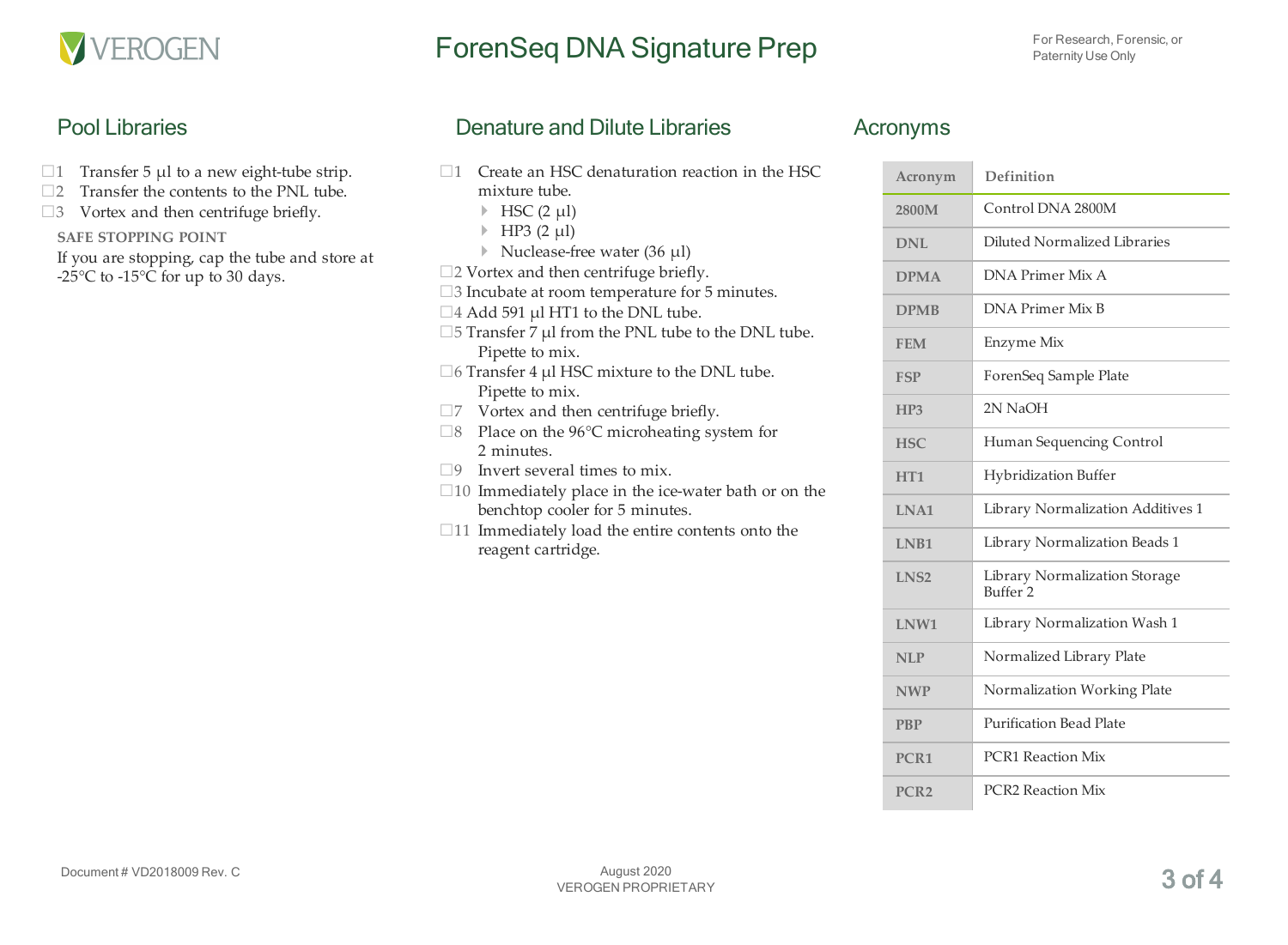

# ForenSeq DNA Signature Prep For Research, Forensic, or

### Pool Libraries

- $\Box$ 1 Transfer 5 µl to a new eight-tube strip.
- $\square$ 2 Transfer the contents to the PNL tube.
- $\square$ 3 Vortex and then centrifuge briefly.

#### **SAFE STOPPING POINT**

If you are stopping, cap the tube and store at -25 $\mathrm{^{\circ}C}$  to -15 $\mathrm{^{\circ}C}$  for up to 30 days.

### Denature and Dilute Libraries

- $\square$ 1 Create an HSC denaturation reaction in the HSC mixture tube.
	- $\blacktriangleright$  HSC (2 µl)
	- $\blacktriangleright$  HP3 (2 µl)
	- } Nuclease-free water (36 µl)
- □2 Vortex and then centrifuge briefly.
- □3 Incubate at room temperature for 5 minutes.
- $\Box$ 4 Add 591 µl HT1 to the DNL tube.
- $\square$ 5 Transfer 7 µl from the PNL tube to the DNL tube. Pipette to mix.
- $\Box$  6 Transfer 4 µl HSC mixture to the DNL tube. Pipette to mix.
- $\square$ 7 Vortex and then centrifuge briefly.
- $\Box$ 8 Place on the 96°C microheating system for 2 minutes.
- $\Box$ 9 Invert several times to mix.
- $\square$ 10 Immediately place in the ice-water bath or on the benchtop cooler for 5 minutes.
- $\Box$ 11 Immediately load the entire contents onto the reagent cartridge.

### Acronyms

| Acronym          | Definition                                           |
|------------------|------------------------------------------------------|
| 2800M            | Control DNA 2800M                                    |
| DNI.             | Diluted Normalized Libraries                         |
| <b>DPMA</b>      | DNA Primer Mix A                                     |
| <b>DPMB</b>      | DNA Primer Mix B                                     |
| <b>FEM</b>       | Enzyme Mix                                           |
| <b>FSP</b>       | ForenSeq Sample Plate                                |
| HP3              | 2N NaOH                                              |
| <b>HSC</b>       | Human Sequencing Control                             |
| HT <sub>1</sub>  | <b>Hybridization Buffer</b>                          |
| LNA1             | Library Normalization Additives 1                    |
| <b>LNB1</b>      | Library Normalization Beads 1                        |
| LNS <sub>2</sub> | Library Normalization Storage<br>Buffer <sub>2</sub> |
| LNW1             | Library Normalization Wash 1                         |
| <b>NLP</b>       | Normalized Library Plate                             |
| <b>NWP</b>       | Normalization Working Plate                          |
| <b>PBP</b>       | <b>Purification Bead Plate</b>                       |
| PCR <sub>1</sub> | <b>PCR1</b> Reaction Mix                             |
| PCR <sub>2</sub> | <b>PCR2</b> Reaction Mix                             |